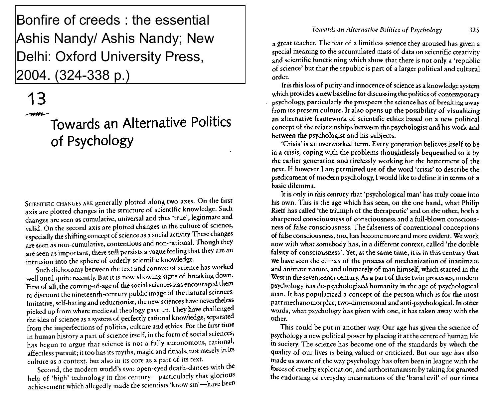Bonfire of creeds : the essential Ashis Nandy/ Ashis Nandy; New Delhi: Oxford University Press, 2004. (324-338 p.)

## **13** muu

# Towards an Alternative Politics of Psychology

SCIENTIFIC CHANGES ARE generally plotted along two axes. On the first axis are plotted changes in the structure of scientific knowledge. Such changes are seen as cumulative, universal and thus 'true', legitimate and valid. On the second axis are plotted changes in the culture of science, especially the shifting concept of science as a social activity. These changes are seen as non-cumulative, contentious and non-rational. Though they are seen as important, there still persists a vague feeling that they are an intrusion into the sphere of orderly scientific knowledge.

Such dichotomy between the text and context of science has worked well until quite recently. But it is now showing signs of breaking down. First of all, the coming-of-age of the social sciences has encouraged them to discount the nineteenth-century public image of the natural sciences. Imitative, self-hating and reductionist, the new sciences have nevertheless picked up from where medieval theology gave up. They have challenged the idea of science as a system of perfectly rational knowledge, separated from the imperfections of politics, culture and ethics. For the first time in human history a part of science itself, in the form of social sciences, has begun to argue that science is not a fully autonomous, rational, affectless pursuit; it too has its myths, magic and rituals, not merely in its culture as a context, but also in its core as a part of its text.

Second, the modern world's two open-eyed death-dances with the help of 'high' technology in this century—particularly that glorious achievement which allegedly made the scientists 'know sin'—have been

#### *Towards an Alternative Politics of Psychology* 325

a great teacher. The fear of a limitless science they aroused has given a special meaning to the accumulated mass of data on scientific creativity and scientific functioning which show that there is not only a 'republic of science' but that the republic is part of a larger political and cultural order.

It is this loss of purity and innocence of science as a knowledge system which provides a new baseline for discussing the politics of contemporary psychology, particularly the prospects the science has of breaking away from its present culture. It also opens up the possibility of visualizing an alternative framework of scientific ethics based on a new political concept of the relationships between the psychologist and his work and between the psychologist and his subjects.

'Crisis' is an overworked term. Every generation believes itself to be in a crisis, coping with the problems thoughtlessly bequeathed to it by the earlier generation and tirelessly working for the betterment of the next. If however I am permitted use of the word 'crisis' to describe the predicament of modern psychology, I would like to define it in terms of a basic dilemma.

It is only in this century that 'psychological man' has truly come into his own. This is the age which has seen, on the one hand, what Philip Rieff has called 'the triumph of the therapeutic' and on the other, both a sharpened consciousness of consciousness and a full-blown consciousness of false consciousness. The falseness of conventional conceptions of false consciousness, too, has become more and more evident. We work now with what somebody has, in a different context, called 'the double falsity of consciousness'. Yet, at the same time, it is in this century that we have seen the climax of the process of mechanization of inanimate and animate nature, and ultimately of man himself, which started in the West in the seventeenth century. As a part of these twin processes, modern psychology has de-psychologized humanity in the age of psychological man. It has popularized a concept of the person which is for the most part mechanomorphic, two-dimensional and anti-psychological. In other words, what psychology has given with one, it has taken away with the other.

This could be put in another way. Our age has given the science of psychology a new political power by placing it at the centre of human life in society. The science has become one of the standards by which the quality of our lives is being valued or criticized. But our age has also made us aware of the way psychology has often been in league with the forces of cruelty, exploitation, and authoritarianism by taking for granted the endorsing of everyday incarnations of the 'banal evil' of our times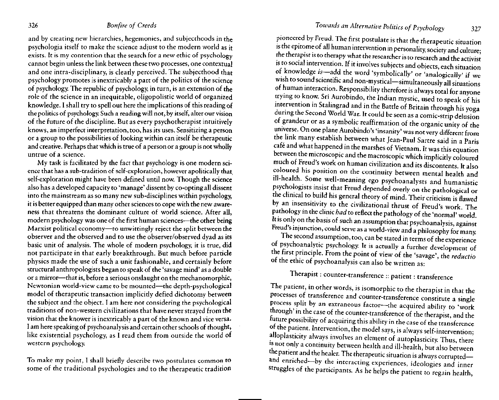and by creating new hierarchies, hegemonies, and subjecthoods in the psychologia itself to make the science adjust to the modern world as it exists. It is my contention that the search for a new ethic of psychology cannot begin unless the link between these two processes, one contextual and one intra-disciplinary, is clearly perceived. The subjecthood that psychology promotes is inextricably a part of the politics of the science of psychology. The republic of psychology, in turn, is an extension of the role of the science in an inequitable, oligopolistic world of organized knowledge. I shall try to spell out here the implications of this reading of the politics of psychology. Such a reading will not, by itself, alter our vision of the future of the discipline. But as every psychotherapist intuitively knows, an imperfect interpretation, too, has its uses. Sensitizing a person or a group to the possibilities of looking within can itself be therapeutic and creative. Perhaps that which is true of a person or a group is not wholly untrue of a science.

My task is facilitated by the fact that psychology is one modern science that has a sub-tradition of self-exploration, however apolitically that, self-exploration might have been defined until now. Though the science also has a developed capacity to 'manage' dissent by co-opting all dissent into the mainstream as so many new sub-disciplines within psychology, it is better equipped than many other sciences to cope with the new awareness that threatens the dominant culture of world science. After all, modern psychology was one of the first human sciences—the other being Marxist political economy—to unwittingly reject the split between the observer and the observed and to use the observer/observed dyad as its basic unit of analysis. The whole of modern psychology, it is true, did not participate in that early breakthrough. But much before particle physics made the use of such a unit fashionable, and certainly before structural anthropologists began to speak of the 'savage mind' as a double or a mirror—that is, before a serious onslaught on the mechanomorphic, Newtonian world-view came to be mounted—the depth-psychological model of therapeutic transaction implicitly defied dichotomy between the subject and the object. I am here not considering the psychological traditions of non-western civilizations that have never strayed from the vision that the knower is inextricably a part of the known and vice versa. I am here speaking of psychoanalysis and certain other schools of thought, like existential psychology, as I read them from outside the world of western psychology.

To make my point, I shall briefly describe two postulates common to some of the traditional psychologies and to the therapeutic tradition

pioneered by Freud. The first postulate is that the therapeutic situation is the epitome of all human intervention in personality, society and culture; the therapist is to therapy what the researcher is to research and the activist is to social intervention. If it involves subjects and objects, each situation of knowledge *is*—add the word 'symbolically' or 'analogically' if we wish to sound scientific and non-mystical—simultaneously all situations of human interaction. Responsibility therefore is always total for anyone trying to know. Sri Aurobindo, the Indian mystic, used to speak of his intervention in Stalingrad and in the Battle of Britain through his yoga during the Second World War. It could be seen as a comic-strip delusion of grandeur or as a symbolic reaffirmation of the organic unity of the universe. On one plane Aurobindo's 'insanity' was not very different from the link many establish between what Jean-Paul Sartre said in a Paris cafe and what happened in the marshes of Vietnam. It was this equation between the microscopic and the macroscopic which implicitly coloured much of Freud's work on human civilization and its discontents. It also coloured his position on the continuity between mental health and ill-health. Some well-meaning ego psychoanalysts and humanistic psychologists insist that Freud depended overly on the pathological or the clinical to build his general theory of mind. Their criticism is flawed by an insensitivity to the civilizational thrust of Freud's work. The pathology in the clinic *had* to reflect the pathology of the 'normal' world. It is only on the basis of such an assumption that psychoanalysis, against Freud's injunction, could serve as a world-view and a philosophy for many.

The second assumption, too, can be stated in terms of the experience of psychoanalytic psychology. It is actually a further development of the first principle. From the point of view of the 'savage', the *reductio* of the ethic of psychoanalysis can also be written as:

# Therapist: counter-transference :: patient: transference

The patient, in other words, is isomorphic to the therapist in that the processes of transference and counter-transference constitute a single process split by an extraneous factor—the acquired ability to 'work through' in the case of the counter-transference of the therapist, and the future possibility of acquiring this ability in the case of the transference of the patient. Intervention, the model says, is always self-intervention; alloplasticity always involves an element of autoplasticity. Thus, there is not only a continuity between health and ill-health, but also between the patient and the healer. The therapeutic situation is always corrupted and enriched—by the interacting experiences, ideologies and inner struggles of the participants. As he helps the patient to regain health,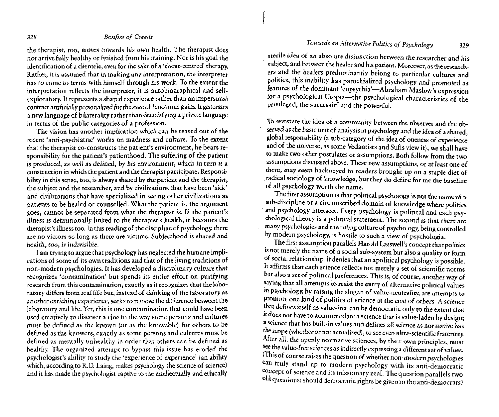## *Towards an Alternative Politics of Psychology* 329

#### 328 *Bonfire of Creeds*

the therapist, too, moves towards his *own* health. The therapist does not arrive fully healthy or finished from his training. Nor is his goal the identification of a clientele, even for the sake of a 'client-centred' therapy. Rather, it is assumed that in making any interpretation, the interpreter has to come *to* terms with himself through his work. To the extent the interpretation reflects the interpreter, it is autobiographical and selfexploratory. It represents a shared experience rather than an impersonal contract artificially personalized for the sake of functional gains. It generates a new language of bilaterality rather than decodifying a private language in terms of the public categories of a profession.

The vision has another implication which can be teased out of the recent 'anti-psychiatric' works on madness and culture. To the extent that the therapist co-constructs the patient's environment, he bears responsibility for the patient's patienthood. The suffering of the patient is produced, *as* well as *defined,* by his environment, which in turn is a construction in which the patient and the therapist participate. Responsibility in this sense, too, is always shared by the patient and the therapist, the subject and the researcher, and by civilizations that have been 'sick' and civilizations that have specialized in seeing other civilizations as patients to be healed or counselled. What the patient is, the argument goes, cannot be separated from what the therapist is. If the patient's illness is definirionally linked to the therapist's health, it becomes the therapist's illness too. In this reading of the discipline of psychology, there are no victors so long as there are victims. Subjecthood is shared and health, too, is indivisible.

I am trying to argue that psychology has neglected the humane implications of some of its own traditions and that of the living traditions of non-modern psychologies. It has developed a disciplinary culture that recognizes 'contamination' but spends its entire effort on purifying research from this contamination, exactly as it recognizes that the laboratory differs from real life but, instead of thinking of the laboratory as another enriching experience, seeks to remove the difference between the laboratory and life. Yet, this is one contamination that could have been used creatively to discover a clue to the way some persons and cultures must be defined as the known (or as the knowable) for others to be defined as the knowers, exactly as some persons and cultures must be defined as mentally unhealthy in order that others can be defined as healthy. The organized attempt to bypass this issue has eroded the psychologist's ability to study the 'experience of experience' (an ability which, according to R.D. Laing, makes psychology the science of science) and it has made the psychologist captive to the intellectually and ethically

sterile idea of an absolute disjunction between the researcher and his subject, and between the healer and his patient. Moreover, as the researchers and the healers predominantly belong to particular cultures and polities, this inability has parochialized psychology and promoted as features of the dominant 'eupsychia'—Abraham Maslow's expression for a psychological Utopia—the psychological characteristics of the privileged, the successful and the powerful.

To reinstate the idea of a community between the observer and the observed as the basic unit of analysis in psychology and the idea of a shared, global responsibility (a sub-category of the idea of oneness of experience and of the universe, as some Vedantists and Sufis view it), we shall have to make two other postulates or assumptions. Both follow from the two assumptions discussed above. These new assumptions, or at least one of them, may seem hackneyed *to* readers brought up on a staple diet of radical sociology of knowledge, but they do define for me the baseline of all psychology worth the name.

The first assumption is that political psychology is not the name of a sub-discipline or a circumscribed domain of knowledge where politics and psychology intersect. Every psychology is political and each psychological theory is a political statement. The second is that there are many psychologies and the ruling culture of psychology, being controlled by modern psychology, is hostile to such a view of psychologia.

The first assumption parallels Harold Lasswell's concept that politics is not merely the name of a social sub-system but also a quality or form of social relationship. It denies that an apolitical psychology is possible. It affirms that each science reflects not merely a set of scientific norms but also a set of political preferences. This is, of course, another way *of* saying that all attempts to resist the entry of alternative political values in psychology, by raising the slogan of value-neutrality, are attempts to promote one kind of politics of science at the cost of others. A *science* that defines itself as value-free can be democratic only to the extent that it does not have to accommodate a science that is value-laden by design; a science that has built-in values and defines all science as normative has the scope (whether or not actualized), *to* see even ultra-scientific fraternity. After all, the openly normative sciences, by their own principles, must see the value-free sciences as indirectly expressing a different set of values. (This of course raises the question of whether non-modern psychologies can truly stand up to modern psychology with its anti-democratic concept of science and its missionary zeal. The question parallels two °ld questions: should democratic rights be given to the anti-democrats?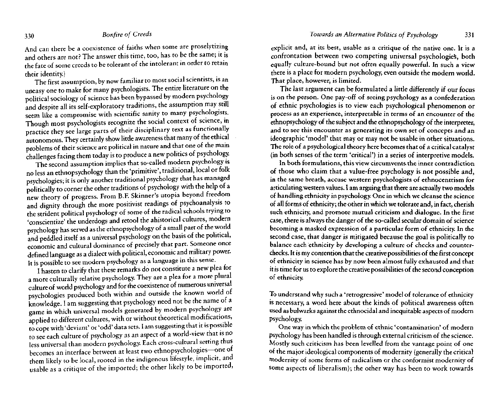And can there be a coexistence of faiths when some are proselytizing and others are not? The answer this time, too, has to be the same; it is the fate of some creeds to be tolerant of the intolerant in order to retain their identity.)

The first assumption, by now familiar to most social scientists, is an uneasy one to make for many psychologists. The entire literature on the political sociology of science has been bypassed by modern psychology and despite all its self-exploratory traditions, the assumption may still seem like a compromise with scientific sanity to many psychologists. Though most psychologists recognize the social context of science, in practice they see large parts of their disciplinary text as functionally autonomous. They certainly show little awareness that many of the ethical problems of their science are political in nature and that one of the main challenges facing them today is to produce a new politics of psychology.

The second assumption implies that so-called modern psychology is no less an ethnopsychology than the 'primitive', traditional, local or folk psychologies; it is only another traditional psychology that has managed politically to corner the other traditions of psychology with the help of a new theory of progress. From B.F. Skinner's Utopia beyond freedom and dignity through the more positivist readings of psychoanalysis to the strident political psychology of some of the radical schools trying to 'conscientize' the underdogs and retool the ahistorical cultures, modern psychology has served as the ethnopsychology of a small part of the world and peddled itself as a universal psychology on the basis of the political, economic and cultural dominance of precisely that part. Someone once defined language as a dialect with political, economic and military power. It is possible to see modern psychology as a language in this sense.

I hasten to clarify that these remarks do not constitute a new plea for a more culturally relative psychology. They are a plea for a more plural culture of world psychology and for the coexistence of numerous universal psychologies produced both within and outside the known world of knowledge. I am suggesting that psychology need not be the name of a game in which universal models generated by modern psychology are applied to different cultures, with or without theoretical modifications, to cope with 'deviant' or 'odd' data sets. I am suggesting that it is possible to see each culture of psychology as an aspect of a world-view that is no less universal than modern psychology. Each cross-cultural setting thus becomes an interface between at least two ethnopsychologies—one of them likely to be local, rooted in the indigenous lifestyle, implicit, and usable as a critique of the imported; the other likely to be imported,

explicit and, at its best, usable as a critique of the native one. It is a confrontation between two competing universal psychologies, both equally culture-bound but not often equally powerful. In such a view there is a place for modern psychology, even outside the modern world. That place, however, is limited.

The last argument can be formulated a little differently if our focus is on the person. One pay-off of seeing psychology as a confederation of ethnic psychologies is to view each psychological phenomenon or process as an experience, interpretable in terms of an encounter of the ethnopsychology of the subject and the ethnopsychology of the interpreter, and to see this encounter as generating its own set of concepts and an ideographic 'model' that may or may not be usable in other situations. The role of a psychological theory here becomes that of a critical catalyst (in both senses of the term 'critical') in a series of interpretive models.

In both formulations, this view circumvents.the inner contradiction of those who claim that a value-free psychology is not possible and, in the same breath, accuse western psychologists of ethnocentrism for articulating western values. I am arguing that there are actually two models of handling ethnicity in psychology. One in which we cleanse the science of all forms of ethnicity; the other in which we tolerate and, in fact, cherish such ethnicity, and promote mutual criticism and dialogue. In the first case, there is always the danger of the so-called secular domain of science becoming a masked expression of a particular form of ethnicity. In the second case, that danger is mitigated because the goal is politically to balance each ethnicity by developing a culture of checks and counterchecks. It is my contention that the creative possibilities of the first concept of ethnicity in science has by now been almost fully exhausted and that it is time for us to explore the creative possibilities of the second conception of ethnicity.

To understand why such a 'retrogressive' model of tolerance of ethnicity is necessary, a word here about the kinds of political awareness often used as bulwarks against the ethnocidal and inequitable aspects of modern psychology.

One way in which the problem of ethnic 'contamination' of modern psychology has been handled is through external criticism of the science. Mostly such criticism has been levelled from the vantage point of one of the major ideological components of modernity (generally the critical modernity of some forms of radicalism or the conformist modernity of some aspects of liberalism); the other way has been to work towards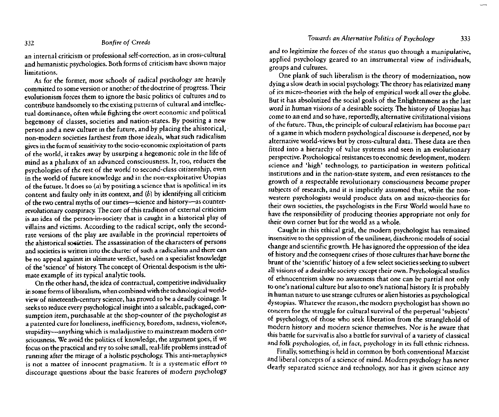an internal criticism or professional self-correction, as in cross-cultural and humanistic psychologies. Both forms of criticism have shown major limitations.

As for the former, most schools of radical psychology are heavily committed to some version or another of the doctrine of progress. Their evolutionism forces them to ignore the basic politics of cultures and to contribute handsomely to the existing patterns of cultural and intellectual dominance, often while fighting the overt economic and political hegemony of classes, societies and nation-states. By positing a new person and a new culture in the future, and by placing the ahistorical, non-modern societies farthest from those ideals, what such radicalism gives in the form of sensitivity to the socio-economic exploitation of parts of the world, it takes away by usurping a hegemonic role in the life of mind as a phalanx of an advanced consciousness. It, too, reduces the psychologies of the rest of the world to second-class citizenship, even in the world of future knowledge and in the non-exploitative Utopias of the future. It does so  $(a)$  by positing a science that is apolitical in its content and faulty only in its context, and *(b)* by identifying all criticism of the two central myths of our times—science and history—as counterrevolutionary conspiracy. The core of this tradition of external criticism is an idea of the person-in-society that is caught in a historical play of villains and victims. According to the radical script, only the secondrate versions of the play are available in the provincial repertoires of the ahistorical societies. The assassination of the characters of persons and societies is written into the charter of such a radicalism and there can be no appeal against its ultimate verdict, based on a specialist knowledge of the 'science' of history. The concept of Oriental despotism is the ultimate example of its typical analytic tools.

On the other hand, the idea of contractual, competitive individuality in some forms of liberalism, when combined with the technological worldview of nineteenth-century science, has proved to be a deadly coinage. It seeks to reduce every psychological insight into a saleable, packaged, consumption item, purchasable at the shop-counter of the psychologist as a patented cure for loneliness, inefficiency, boredom, sadness, violence, stupidity—anything which is maladjustive to mainstream modern consciousness. We avoid the politics of knowledge, the argument goes, if we focus on the practical and try to solve small, real-life problems instead of running after the mirage of a holistic psychology. This anti-metaphysics is not a matter of innocent pragmatism. It is a systematic effort to discourage questions about the basic features of modern psychology

and to legitimize the forces of the status quo through a manipulative, applied psychology geared to an instrumental view of individuals, groups and cultures.

One plank of such liberalism is the theory of modernization, now dying a slow death in social psychology. The theory has relativized many of its micro-theories with the help of empirical work all over the globe. But it has absolutized the social goals of the Enlightenment as the last word in human visions of a desirable society. The history of Utopias has come to an end and so have, reportedly, alternative civilizational visions of the future. Thus, the principle of cultural relativism has become part of a game in which modern psychological discourse is deepened, not by alternative world-views but by cross-cultural data. These data are then fitted into a hierarchy of value systems and seen in an evolutionary perspective. Psychological resistances to economic development, modern science and 'high' technology, to participation in western political institutions and in the nation-state system, and even resistances to the growth of a respectable revolutionary consciousness become proper subjects of research, and it is implicitly assumed that, while the nonwestern psychologists would produce data on and micro-theories for their own societies, the psychologists in the First World would have to have the responsibility of producing theories appropriate not only for their own corner but for the world as a whole.

Caught in this ethical grid, the modern psychologist has remained insensitive to the oppression of the unilinear, diachronic models of social change and scientific growth. He has ignored the oppression of the idea of history and the consequent crises of those cultures that have borne the brunt of the 'scientific' history of a few select societies seeking to subvert all visions of a desirable society except their own. Psychological studies of ethnocentrism show no awareness that one can be partial not only to one's national culture but also to one's national history. It is probably in human nature to use strange cultures or alien histories as psychological dystopias. Whatever the reason, the modern psychologist has shown no concern for the struggle for cultural survival of the perpetual 'subjects' of psychology, of those who seek liberation from the stranglehold of modern history and modern science themselves. Nor is he aware that this battle for survival is also a battle for survival of a variety of classical and folk psychologies, of, in fact, psychology in its full ethnic richness.

Finally, something is held in common by both conventional Marxist and liberal concepts of a science of mind. Modern psychology has never clearly separated science and technology, nor has it given science any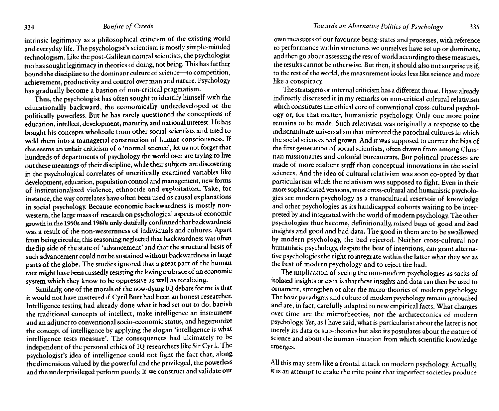intrinsic legitimacy as a philosophical criticism of the existing world and everyday life. The psychologist's scientism is mostly simple-minded technologism. Like the post-Galilean natural scientists, the psychologist too has sought legitimacy in theories of doing, not being. This has further bound the discipline to the dominant culture of science—to competition, achievement, productivity and control over man and nature. Psychology has gradually become a bastion of non-critical pragmatism.

Thus, the psychologist has often sought to identify himself with the educationally backward, the economically underdeveloped or the politically powerless. But he has rarely questioned the conceptions of education, intellect, development, maturity, and national interest. He has bought his concepts wholesale from other social scientists and tried to weld them into a managerial construction of human consciousness. If this seems an unfair criticism of a 'normal science', let us not forget that hundreds of departments of psychology the world over are trying to live out these meanings of their discipline, while their subjects are discovering in the psychological correlates of uncritically examined variables like development, education, population control and management, new forms of institutionalized violence, ethnocide and exploitation. Take, for instance, the way correlates have often been used as causal explanations in social psychology. Because economic backwardness is mostly nonwestern, the large mass of research on psychological aspects of economic growth in the 1950s and 1960s only dutifully confirmed that backwardness was a result of the non-westernness of individuals and cultures. Apart from being circular, this reasoning neglected that backwardness was often the flip side of the state of 'advancement' and that the structural basis of such advancement could not be sustained without backwardness in large parts of the globe. The studies ignored that a great part of the human race might have been cussedly resisting the loving embrace of an economic system which they know to be oppressive as well as totalizing.

Similarly, one of the morals of the now-dying IQ debate for me is that it would not have mattered if Cyril Burt had been an honest researcher. Intelligence testing had already done what it had set out to do: banish the traditional concepts of intellect, make intelligence an instrument and an adjunct to conventional socio-economic status, and hegemonize the concept of intelligence by applying the slogan 'intelligence is what intelligence tests measure'. The consequences had ultimately to be independent of the personal ethics of IQ researchers like Sir Cyril. The psychologist's idea of intelligence could not fight the fact that, along the dimensions valued by the powerful and the privileged, the powerless and the underprivileged perform poorly. If we construct and validate our

own measures of our favourite being-states and processes, with reference to performance within structures we ourselves have set up or dominate, and then go about assessing the rest of world according to these measures, the results cannot be otherwise. But then, it should also not surprise us if, to the rest of the world, the measurement looks less like science and more like a conspiracy.

The stratagem of internal criticism has a different thrust. I have already indirectly discussed it in my remarks on non-critical cultural relativism which constitutes the ethical core of conventional cross-cultural psychology or, for that matter, humanistic psychology. Only one more point remains to be made. Such relativism was originally a response to the indiscriminate universalism that mirrored the parochial cultures in which the social sciences had grown. And it was supposed to correct the bias of the first generation of social scientists, often drawn from among Christian missionaries and colonial bureaucrats. But political processes are made of more resilient stuff than conceptual innovations in the social sciences. And the idea of cultural relativism was soon co-opted by that particularism which the relativism was supposed to fight. Even in their more sophisticated versions, most cross-cultural and humanistic psychologies see modern psychology as a transcultural reservoir of knowledge and other psychologies as its handicapped cohorts waiting to be interpreted by and integrated with the world of modern psychology. The other psychologies thus become, definitionally, mixed bags of good and bad insights and good and bad data. The good in them are to be swallowed by modern psychology, the bad rejected. Neither cross-cultural nor humanistic psychology, despite the best of intentions, can grant alternative psychologies the right to integrate within the latter what they see as the best of modern psychology and to reject the bad.

The implication of seeing the non-modern psychologies as sacks of isolated insights or data is that these insights and data can then be used to ornament, strengthen or alter the micro-theories of modern psychology. The basic paradigms and culture of modern psychology remain untouched and are, in fact, carefully adapted to new empirical facts. What changes over time are the microtheories, not the architectonics of modern psychology. Yet, as I have said, what is particularist about the latter is not merely its data or sub-theories but also its postulates about the nature of science and about the human situation from which scientific knowledge emerges.

All this may seem like a frontal attack on modern psychology. Actually, it is an attempt to make the trite point that imperfect societies produce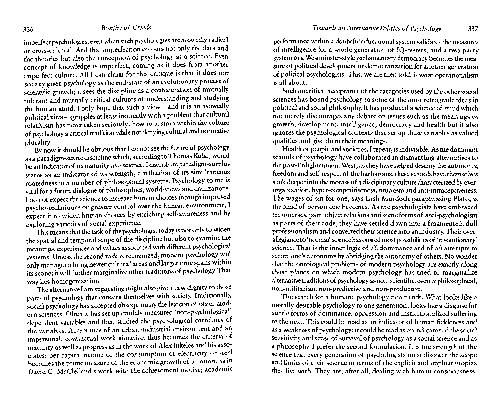imperfect psychologies, even when such psychologies are avowedly radical or cross-cultural. And that imperfection colours not only the data and the theories but also the conception of psychology as a science. Even concept of knowledge is imperfect, coming as it does from another imperfect culture. All I can claim for this critique is that it does not see any given psychology as the end-state of an evolutionary process of scientific growth; it sees the discipline as a confederation of mutually tolerant and mutually critical cultures of understanding and studying the human mind. I only hope that such a view—and it is an avowedly political view—grapples at least indirectly with a problem that cultural relativism has never taken seriously: how to sustain within the culture of psychology a critical tradition while not denying cultural and normative plurality.

By now it should be obvious that I do not see the future of psychology as a paradigm-scarce discipline which, according to Thomas Kuhn, would be an indicator of its maturity as a science. I cherish its paradigm-surplus status as an indicator of its strength, a reflection of its simultaneous rootedness in a number of philosophical systems. Psychology to me is vital for a future dialogue of philosophies, world-views and civilizations. I do not expect the science to increase human choices through improved psycho-techniques or greater control over the human environment; I expect it to widen human choices by enriching self-awareness and by exploring varieties of social experience.

This means that the task of the psychologist today is not only to widen the spatial and temporal scope of the discipline but also to examine the meanings, experiences and values associated with different psychological systems. Unless the second task is recognized, modern psychology will only manage to bring newer cultural areas and larger time spans within its scope; it will further marginalize other traditions of psychology. That way lies homogenization.

The alternative I am suggesting might also give a new dignity to those parts of psychology that concern themselves with society. Traditionally, social psychology has accepted obsequiously the lexicon of other modern sciences. Often it has set up crudely measured 'non-psychological' dependent variables and then studied the psychological correlates of the variables. Acceptance of an urban—industrial environment and an impersonal, contractual work situation thus becomes the criteria of maturity as well as progress as in the work of Alex Inkeles and his associates; per capita income or the consumption of electricity or steel becomes the prime measure of the economic growth of a nation, as in David C. McClelland's work with the achievement motive; academic performance within a doubtful educational system validates the measures of intelligence for a whole generation of IQ-testers; and a two-party system or a Westminster-style parliamentary democracy becomes the measure of political development or democratization for another generation of political psychologists. This, we are then told, is what operationalism is all about.

Such uncritical acceptance of the categories used by the other social sciences has bound psychology to some of the most retrograde ideas in political and social philosophy. It has produced a science of mind which not merely discourages any debate on issues such as the meanings of growth, development, intelligence, democracy and health but it also ignores the psychological contexts that set up these variables as valued qualities and give them their meanings.

Health of people and societies, I repeat, is indivisible. As the dominant schools of psychology have collaborated in dismantling alternatives to the post-Enlightenment West, as they have helped destroy the autonomy, freedom and self-respect of the barbarians, these schools have themselves sunk deeper into the morass of a disciplinary culture characterized by overorganization, hyper-competitiveness, ritualism and anti-intraceptiveness. The wages of sin for one, says Irish Murdoch paraphrasing Plato, is the kind of person one becomes. As the psychologists have embraced technocracy, part-object relations and some forms of anti-psychologism as parts of their code, they have settled down into a fragmented, dull professionalism and converted their science into an industry. Their overallegiance to 'normal' science has ousted most possibilities of 'revolutionary' science. That is the inner logic of all dominance and of all attempts to secure one's autonomy by abridging the autonomy of others. No wonder that the ontological problems of modern psychology are exactly along those planes on which modern psychology has tried to marginalize alternative traditions of psychology as non-scientific, overtly philosophical, non-utilitarian, non-predictive and non-productive.

The search for a humane psychology never ends. What looks like a morally desirable psychology to one generation, looks like a disguise for subtle forms of dominance, oppression and institutionalized suffering to the next. This could be read as an indicator of human fickleness and as a weakness of psychology; it could be read as an indicator of the social sensitivity and sense of survival of psychology as a social science and as a philosophy. I prefer the second formulation. It is the strength of the science that every generation of psychologists must discover the scope and limits of their science in terms of the explicit and implicit utopias they live with. They are, after all, dealing with human consciousness.